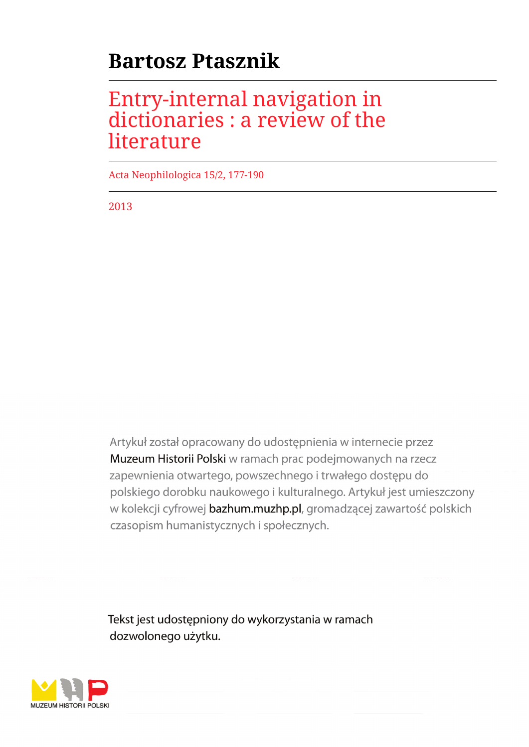# **Bartosz Ptasznik**

## Entry-internal navigation in dictionaries : a review of the literature

Acta Neophilologica 15/2, 177-190

2013

Artykuł został opracowany do udostępnienia w internecie przez Muzeum Historii Polski w ramach prac podejmowanych na rzecz zapewnienia otwartego, powszechnego i trwałego dostępu do polskiego dorobku naukowego i kulturalnego. Artykuł jest umieszczony w kolekcji cyfrowej bazhum.muzhp.pl, gromadzącej zawartość polskich czasopism humanistycznych i społecznych.

Tekst jest udostępniony do wykorzystania w ramach dozwolonego użytku.

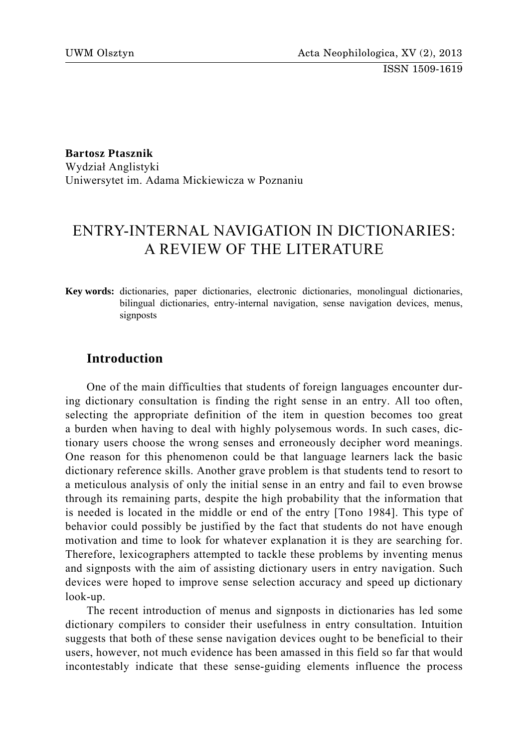**Bartosz Ptasznik** 

Wydział Anglistyki Uniwersytet im. Adama Mickiewicza w Poznaniu

## ENTRY-INTERNAL NAVIGATION IN DICTIONARIES: A REVIEW OF THE LITERATURE

**Key words:** dictionaries, paper dictionaries, electronic dictionaries, monolingual dictionaries, bilingual dictionaries, entry-internal navigation, sense navigation devices, menus, signposts

## **Introduction**

One of the main difficulties that students of foreign languages encounter during dictionary consultation is finding the right sense in an entry. All too often, selecting the appropriate definition of the item in question becomes too great a burden when having to deal with highly polysemous words. In such cases, dictionary users choose the wrong senses and erroneously decipher word meanings. One reason for this phenomenon could be that language learners lack the basic dictionary reference skills. Another grave problem is that students tend to resort to a meticulous analysis of only the initial sense in an entry and fail to even browse through its remaining parts, despite the high probability that the information that is needed is located in the middle or end of the entry [Tono 1984]. This type of behavior could possibly be justified by the fact that students do not have enough motivation and time to look for whatever explanation it is they are searching for. Therefore, lexicographers attempted to tackle these problems by inventing menus and signposts with the aim of assisting dictionary users in entry navigation. Such devices were hoped to improve sense selection accuracy and speed up dictionary look-up.

The recent introduction of menus and signposts in dictionaries has led some dictionary compilers to consider their usefulness in entry consultation. Intuition suggests that both of these sense navigation devices ought to be beneficial to their users, however, not much evidence has been amassed in this field so far that would incontestably indicate that these sense-guiding elements influence the process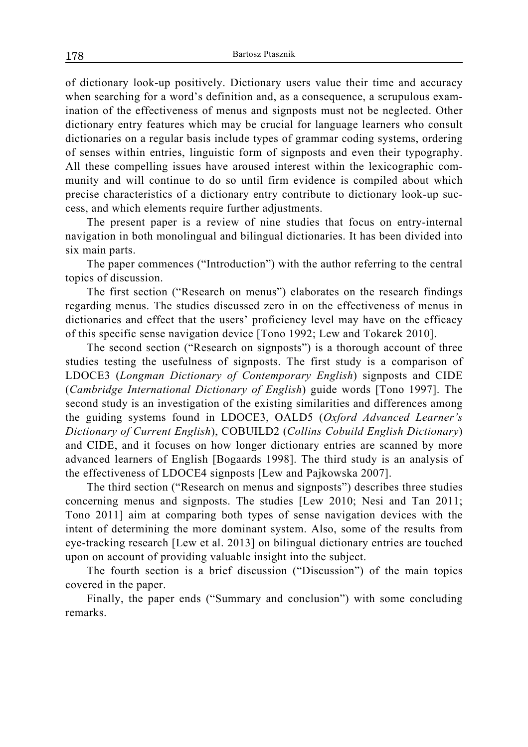of dictionary look-up positively. Dictionary users value their time and accuracy when searching for a word's definition and, as a consequence, a scrupulous examination of the effectiveness of menus and signposts must not be neglected. Other dictionary entry features which may be crucial for language learners who consult dictionaries on a regular basis include types of grammar coding systems, ordering of senses within entries, linguistic form of signposts and even their typography. All these compelling issues have aroused interest within the lexicographic community and will continue to do so until firm evidence is compiled about which precise characteristics of a dictionary entry contribute to dictionary look-up success, and which elements require further adjustments.

The present paper is a review of nine studies that focus on entry-internal navigation in both monolingual and bilingual dictionaries. It has been divided into six main parts.

The paper commences ("Introduction") with the author referring to the central topics of discussion.

The first section ("Research on menus") elaborates on the research findings regarding menus. The studies discussed zero in on the effectiveness of menus in dictionaries and effect that the users' proficiency level may have on the efficacy of this specific sense navigation device [Tono 1992; Lew and Tokarek 2010].

The second section ("Research on signposts") is a thorough account of three studies testing the usefulness of signposts. The first study is a comparison of LDOCE3 (*Longman Dictionary of Contemporary English*) signposts and CIDE (*Cambridge International Dictionary of English*) guide words [Tono 1997]. The second study is an investigation of the existing similarities and differences among the guiding systems found in LDOCE3, OALD5 (*Oxford Advanced Learner's Dictionary of Current English*), COBUILD2 (*Collins Cobuild English Dictionary*) and CIDE, and it focuses on how longer dictionary entries are scanned by more advanced learners of English [Bogaards 1998]. The third study is an analysis of the effectiveness of LDOCE4 signposts [Lew and Pajkowska 2007].

The third section ("Research on menus and signposts") describes three studies concerning menus and signposts. The studies [Lew 2010; Nesi and Tan 2011; Tono 2011] aim at comparing both types of sense navigation devices with the intent of determining the more dominant system. Also, some of the results from eye-tracking research [Lew et al. 2013] on bilingual dictionary entries are touched upon on account of providing valuable insight into the subject.

The fourth section is a brief discussion ("Discussion") of the main topics covered in the paper.

Finally, the paper ends ("Summary and conclusion") with some concluding remarks.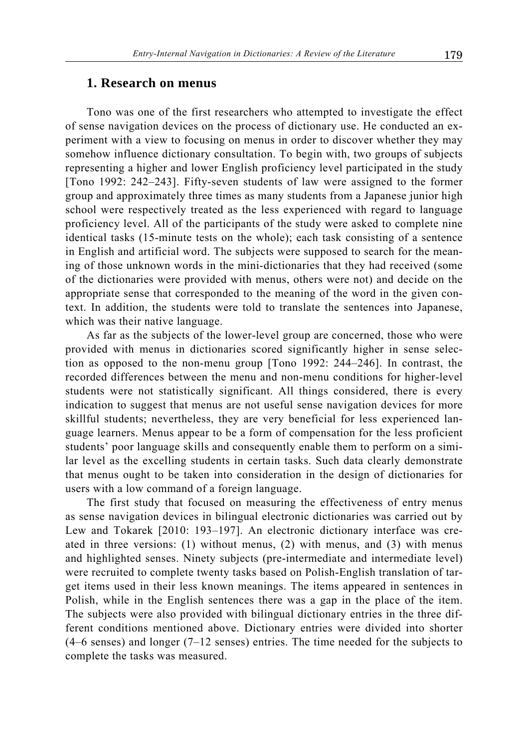## **1. Research on menus**

Tono was one of the first researchers who attempted to investigate the effect of sense navigation devices on the process of dictionary use. He conducted an experiment with a view to focusing on menus in order to discover whether they may somehow influence dictionary consultation. To begin with, two groups of subjects representing a higher and lower English proficiency level participated in the study [Tono 1992: 242–243]. Fifty-seven students of law were assigned to the former group and approximately three times as many students from a Japanese junior high school were respectively treated as the less experienced with regard to language proficiency level. All of the participants of the study were asked to complete nine identical tasks (15-minute tests on the whole); each task consisting of a sentence in English and artificial word. The subjects were supposed to search for the meaning of those unknown words in the mini-dictionaries that they had received (some of the dictionaries were provided with menus, others were not) and decide on the appropriate sense that corresponded to the meaning of the word in the given context. In addition, the students were told to translate the sentences into Japanese, which was their native language.

As far as the subjects of the lower-level group are concerned, those who were provided with menus in dictionaries scored significantly higher in sense selection as opposed to the non-menu group [Tono 1992: 244–246]. In contrast, the recorded differences between the menu and non-menu conditions for higher-level students were not statistically significant. All things considered, there is every indication to suggest that menus are not useful sense navigation devices for more skillful students; nevertheless, they are very beneficial for less experienced language learners. Menus appear to be a form of compensation for the less proficient students' poor language skills and consequently enable them to perform on a similar level as the excelling students in certain tasks. Such data clearly demonstrate that menus ought to be taken into consideration in the design of dictionaries for users with a low command of a foreign language.

The first study that focused on measuring the effectiveness of entry menus as sense navigation devices in bilingual electronic dictionaries was carried out by Lew and Tokarek [2010: 193–197]. An electronic dictionary interface was created in three versions: (1) without menus, (2) with menus, and (3) with menus and highlighted senses. Ninety subjects (pre-intermediate and intermediate level) were recruited to complete twenty tasks based on Polish-English translation of target items used in their less known meanings. The items appeared in sentences in Polish, while in the English sentences there was a gap in the place of the item. The subjects were also provided with bilingual dictionary entries in the three different conditions mentioned above. Dictionary entries were divided into shorter (4–6 senses) and longer (7–12 senses) entries. The time needed for the subjects to complete the tasks was measured.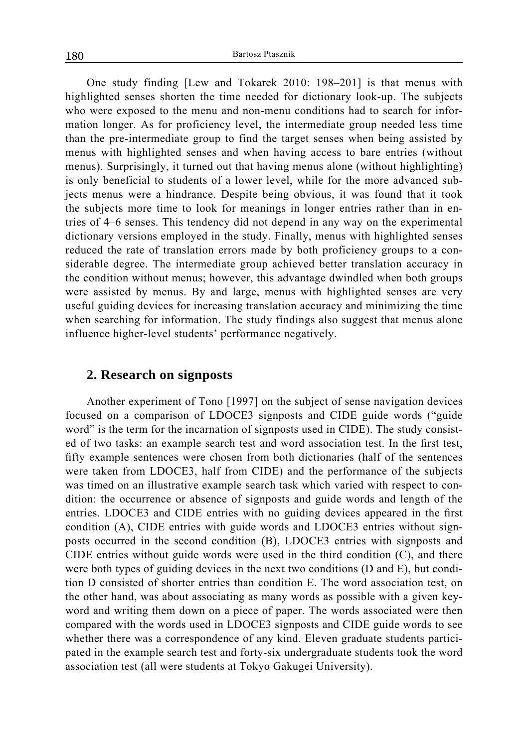One study finding [Lew and Tokarek 2010: 198–201] is that menus with highlighted senses shorten the time needed for dictionary look-up. The subjects who were exposed to the menu and non-menu conditions had to search for information longer. As for proficiency level, the intermediate group needed less time than the pre-intermediate group to find the target senses when being assisted by menus with highlighted senses and when having access to bare entries (without menus). Surprisingly, it turned out that having menus alone (without highlighting) is only beneficial to students of a lower level, while for the more advanced subjects menus were a hindrance. Despite being obvious, it was found that it took the subjects more time to look for meanings in longer entries rather than in entries of 4–6 senses. This tendency did not depend in any way on the experimental dictionary versions employed in the study. Finally, menus with highlighted senses reduced the rate of translation errors made by both proficiency groups to a considerable degree. The intermediate group achieved better translation accuracy in the condition without menus; however, this advantage dwindled when both groups were assisted by menus. By and large, menus with highlighted senses are very useful guiding devices for increasing translation accuracy and minimizing the time when searching for information. The study findings also suggest that menus alone influence higher-level students' performance negatively.

## **2. Research on signposts**

Another experiment of Tono [1997] on the subject of sense navigation devices focused on a comparison of LDOCE3 signposts and CIDE guide words ("guide word" is the term for the incarnation of signposts used in CIDE). The study consisted of two tasks: an example search test and word association test. In the first test, fifty example sentences were chosen from both dictionaries (half of the sentences were taken from LDOCE3, half from CIDE) and the performance of the subjects was timed on an illustrative example search task which varied with respect to condition: the occurrence or absence of signposts and guide words and length of the entries. LDOCE3 and CIDE entries with no guiding devices appeared in the first condition (A), CIDE entries with guide words and LDOCE3 entries without signposts occurred in the second condition (B), LDOCE3 entries with signposts and CIDE entries without guide words were used in the third condition (C), and there were both types of guiding devices in the next two conditions (D and E), but condition D consisted of shorter entries than condition E. The word association test, on the other hand, was about associating as many words as possible with a given keyword and writing them down on a piece of paper. The words associated were then compared with the words used in LDOCE3 signposts and CIDE guide words to see whether there was a correspondence of any kind. Eleven graduate students participated in the example search test and forty-six undergraduate students took the word association test (all were students at Tokyo Gakugei University).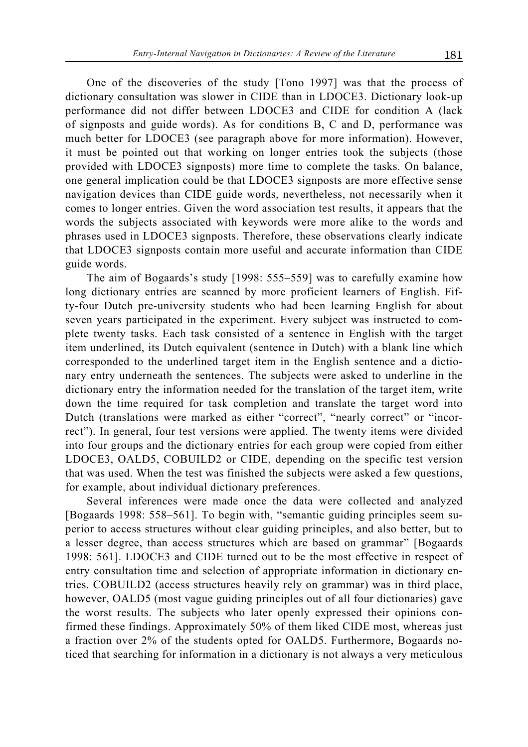One of the discoveries of the study [Tono 1997] was that the process of dictionary consultation was slower in CIDE than in LDOCE3. Dictionary look-up performance did not differ between LDOCE3 and CIDE for condition A (lack of signposts and guide words). As for conditions B, C and D, performance was much better for LDOCE3 (see paragraph above for more information). However, it must be pointed out that working on longer entries took the subjects (those provided with LDOCE3 signposts) more time to complete the tasks. On balance, one general implication could be that LDOCE3 signposts are more effective sense navigation devices than CIDE guide words, nevertheless, not necessarily when it comes to longer entries. Given the word association test results, it appears that the words the subjects associated with keywords were more alike to the words and phrases used in LDOCE3 signposts. Therefore, these observations clearly indicate that LDOCE3 signposts contain more useful and accurate information than CIDE guide words.

The aim of Bogaards's study [1998: 555–559] was to carefully examine how long dictionary entries are scanned by more proficient learners of English. Fifty-four Dutch pre-university students who had been learning English for about seven years participated in the experiment. Every subject was instructed to complete twenty tasks. Each task consisted of a sentence in English with the target item underlined, its Dutch equivalent (sentence in Dutch) with a blank line which corresponded to the underlined target item in the English sentence and a dictionary entry underneath the sentences. The subjects were asked to underline in the dictionary entry the information needed for the translation of the target item, write down the time required for task completion and translate the target word into Dutch (translations were marked as either "correct", "nearly correct" or "incorrect"). In general, four test versions were applied. The twenty items were divided into four groups and the dictionary entries for each group were copied from either LDOCE3, OALD5, COBUILD2 or CIDE, depending on the specific test version that was used. When the test was finished the subjects were asked a few questions, for example, about individual dictionary preferences.

Several inferences were made once the data were collected and analyzed [Bogaards 1998: 558–561]. To begin with, "semantic guiding principles seem superior to access structures without clear guiding principles, and also better, but to a lesser degree, than access structures which are based on grammar" [Bogaards 1998: 561]. LDOCE3 and CIDE turned out to be the most effective in respect of entry consultation time and selection of appropriate information in dictionary entries. COBUILD2 (access structures heavily rely on grammar) was in third place, however, OALD5 (most vague guiding principles out of all four dictionaries) gave the worst results. The subjects who later openly expressed their opinions confirmed these findings. Approximately 50% of them liked CIDE most, whereas just a fraction over 2% of the students opted for OALD5. Furthermore, Bogaards noticed that searching for information in a dictionary is not always a very meticulous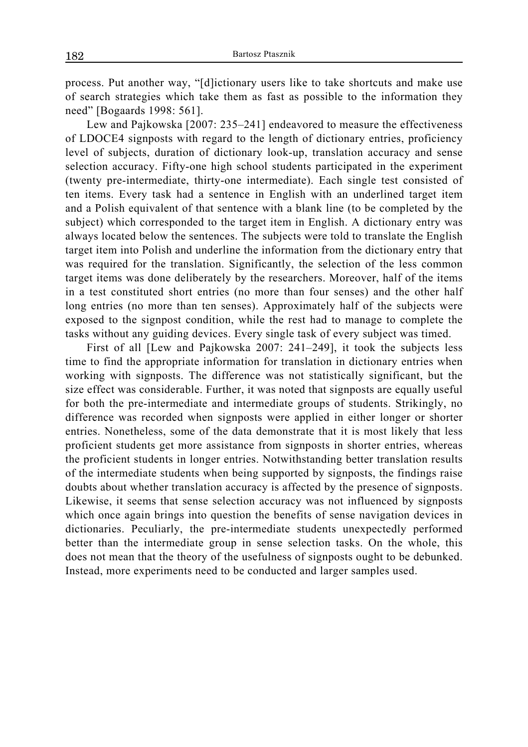process. Put another way, "[d]ictionary users like to take shortcuts and make use of search strategies which take them as fast as possible to the information they need" [Bogaards 1998: 561].

Lew and Pajkowska [2007: 235–241] endeavored to measure the effectiveness of LDOCE4 signposts with regard to the length of dictionary entries, proficiency level of subjects, duration of dictionary look-up, translation accuracy and sense selection accuracy. Fifty-one high school students participated in the experiment (twenty pre-intermediate, thirty-one intermediate). Each single test consisted of ten items. Every task had a sentence in English with an underlined target item and a Polish equivalent of that sentence with a blank line (to be completed by the subject) which corresponded to the target item in English. A dictionary entry was always located below the sentences. The subjects were told to translate the English target item into Polish and underline the information from the dictionary entry that was required for the translation. Significantly, the selection of the less common target items was done deliberately by the researchers. Moreover, half of the items in a test constituted short entries (no more than four senses) and the other half long entries (no more than ten senses). Approximately half of the subjects were exposed to the signpost condition, while the rest had to manage to complete the tasks without any guiding devices. Every single task of every subject was timed.

First of all [Lew and Pajkowska 2007: 241–249], it took the subjects less time to find the appropriate information for translation in dictionary entries when working with signposts. The difference was not statistically significant, but the size effect was considerable. Further, it was noted that signposts are equally useful for both the pre-intermediate and intermediate groups of students. Strikingly, no difference was recorded when signposts were applied in either longer or shorter entries. Nonetheless, some of the data demonstrate that it is most likely that less proficient students get more assistance from signposts in shorter entries, whereas the proficient students in longer entries. Notwithstanding better translation results of the intermediate students when being supported by signposts, the findings raise doubts about whether translation accuracy is affected by the presence of signposts. Likewise, it seems that sense selection accuracy was not influenced by signposts which once again brings into question the benefits of sense navigation devices in dictionaries. Peculiarly, the pre-intermediate students unexpectedly performed better than the intermediate group in sense selection tasks. On the whole, this does not mean that the theory of the usefulness of signposts ought to be debunked. Instead, more experiments need to be conducted and larger samples used.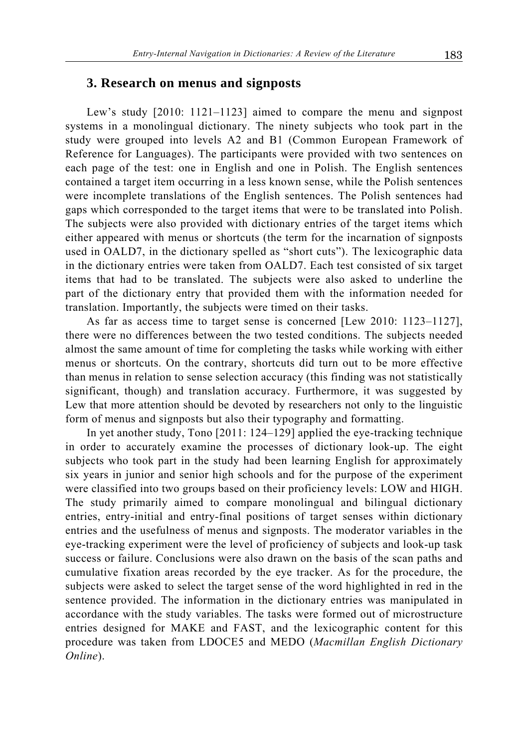### **3. Research on menus and signposts**

Lew's study [2010: 1121–1123] aimed to compare the menu and signpost systems in a monolingual dictionary. The ninety subjects who took part in the study were grouped into levels A2 and B1 (Common European Framework of Reference for Languages). The participants were provided with two sentences on each page of the test: one in English and one in Polish. The English sentences contained a target item occurring in a less known sense, while the Polish sentences were incomplete translations of the English sentences. The Polish sentences had gaps which corresponded to the target items that were to be translated into Polish. The subjects were also provided with dictionary entries of the target items which either appeared with menus or shortcuts (the term for the incarnation of signposts used in OALD7, in the dictionary spelled as "short cuts"). The lexicographic data in the dictionary entries were taken from OALD7. Each test consisted of six target items that had to be translated. The subjects were also asked to underline the part of the dictionary entry that provided them with the information needed for translation. Importantly, the subjects were timed on their tasks.

As far as access time to target sense is concerned [Lew 2010: 1123–1127], there were no differences between the two tested conditions. The subjects needed almost the same amount of time for completing the tasks while working with either menus or shortcuts. On the contrary, shortcuts did turn out to be more effective than menus in relation to sense selection accuracy (this finding was not statistically significant, though) and translation accuracy. Furthermore, it was suggested by Lew that more attention should be devoted by researchers not only to the linguistic form of menus and signposts but also their typography and formatting.

In yet another study, Tono [2011: 124–129] applied the eye-tracking technique in order to accurately examine the processes of dictionary look-up. The eight subjects who took part in the study had been learning English for approximately six years in junior and senior high schools and for the purpose of the experiment were classified into two groups based on their proficiency levels: LOW and HIGH. The study primarily aimed to compare monolingual and bilingual dictionary entries, entry-initial and entry-final positions of target senses within dictionary entries and the usefulness of menus and signposts. The moderator variables in the eye-tracking experiment were the level of proficiency of subjects and look-up task success or failure. Conclusions were also drawn on the basis of the scan paths and cumulative fixation areas recorded by the eye tracker. As for the procedure, the subjects were asked to select the target sense of the word highlighted in red in the sentence provided. The information in the dictionary entries was manipulated in accordance with the study variables. The tasks were formed out of microstructure entries designed for MAKE and FAST, and the lexicographic content for this procedure was taken from LDOCE5 and MEDO (*Macmillan English Dictionary Online*).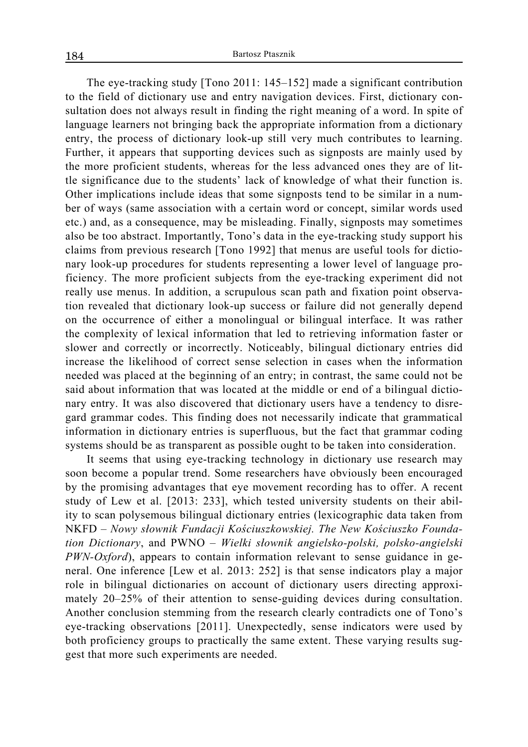The eye-tracking study [Tono 2011: 145–152] made a significant contribution to the field of dictionary use and entry navigation devices. First, dictionary consultation does not always result in finding the right meaning of a word. In spite of language learners not bringing back the appropriate information from a dictionary entry, the process of dictionary look-up still very much contributes to learning. Further, it appears that supporting devices such as signposts are mainly used by the more proficient students, whereas for the less advanced ones they are of little significance due to the students' lack of knowledge of what their function is. Other implications include ideas that some signposts tend to be similar in a number of ways (same association with a certain word or concept, similar words used etc.) and, as a consequence, may be misleading. Finally, signposts may sometimes also be too abstract. Importantly, Tono's data in the eye-tracking study support his claims from previous research [Tono 1992] that menus are useful tools for dictionary look-up procedures for students representing a lower level of language proficiency. The more proficient subjects from the eye-tracking experiment did not really use menus. In addition, a scrupulous scan path and fixation point observation revealed that dictionary look-up success or failure did not generally depend on the occurrence of either a monolingual or bilingual interface. It was rather the complexity of lexical information that led to retrieving information faster or slower and correctly or incorrectly. Noticeably, bilingual dictionary entries did increase the likelihood of correct sense selection in cases when the information needed was placed at the beginning of an entry; in contrast, the same could not be said about information that was located at the middle or end of a bilingual dictionary entry. It was also discovered that dictionary users have a tendency to disregard grammar codes. This finding does not necessarily indicate that grammatical information in dictionary entries is superfluous, but the fact that grammar coding systems should be as transparent as possible ought to be taken into consideration.

It seems that using eye-tracking technology in dictionary use research may soon become a popular trend. Some researchers have obviously been encouraged by the promising advantages that eye movement recording has to offer. A recent study of Lew et al. [2013: 233], which tested university students on their ability to scan polysemous bilingual dictionary entries (lexicographic data taken from NKFD – *Nowy słownik Fundacji Kościuszkowskiej. The New Kościuszko Foundation Dictionary*, and PWNO – *Wielki słownik angielsko-polski, polsko-angielski PWN-Oxford*), appears to contain information relevant to sense guidance in general. One inference [Lew et al. 2013: 252] is that sense indicators play a major role in bilingual dictionaries on account of dictionary users directing approximately 20–25% of their attention to sense-guiding devices during consultation. Another conclusion stemming from the research clearly contradicts one of Tono's eye-tracking observations [2011]. Unexpectedly, sense indicators were used by both proficiency groups to practically the same extent. These varying results suggest that more such experiments are needed.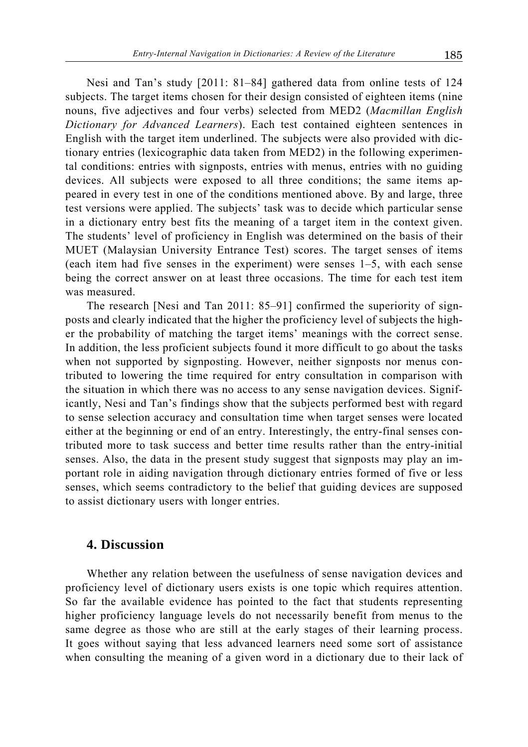Nesi and Tan's study [2011: 81–84] gathered data from online tests of 124 subjects. The target items chosen for their design consisted of eighteen items (nine nouns, five adjectives and four verbs) selected from MED2 (*Macmillan English Dictionary for Advanced Learners*). Each test contained eighteen sentences in English with the target item underlined. The subjects were also provided with dictionary entries (lexicographic data taken from MED2) in the following experimental conditions: entries with signposts, entries with menus, entries with no guiding devices. All subjects were exposed to all three conditions; the same items appeared in every test in one of the conditions mentioned above. By and large, three test versions were applied. The subjects' task was to decide which particular sense in a dictionary entry best fits the meaning of a target item in the context given. The students' level of proficiency in English was determined on the basis of their MUET (Malaysian University Entrance Test) scores. The target senses of items (each item had five senses in the experiment) were senses 1–5, with each sense being the correct answer on at least three occasions. The time for each test item was measured.

The research [Nesi and Tan 2011: 85–91] confirmed the superiority of signposts and clearly indicated that the higher the proficiency level of subjects the higher the probability of matching the target items' meanings with the correct sense. In addition, the less proficient subjects found it more difficult to go about the tasks when not supported by signposting. However, neither signposts nor menus contributed to lowering the time required for entry consultation in comparison with the situation in which there was no access to any sense navigation devices. Significantly, Nesi and Tan's findings show that the subjects performed best with regard to sense selection accuracy and consultation time when target senses were located either at the beginning or end of an entry. Interestingly, the entry-final senses contributed more to task success and better time results rather than the entry-initial senses. Also, the data in the present study suggest that signposts may play an important role in aiding navigation through dictionary entries formed of five or less senses, which seems contradictory to the belief that guiding devices are supposed to assist dictionary users with longer entries.

## **4. Discussion**

Whether any relation between the usefulness of sense navigation devices and proficiency level of dictionary users exists is one topic which requires attention. So far the available evidence has pointed to the fact that students representing higher proficiency language levels do not necessarily benefit from menus to the same degree as those who are still at the early stages of their learning process. It goes without saying that less advanced learners need some sort of assistance when consulting the meaning of a given word in a dictionary due to their lack of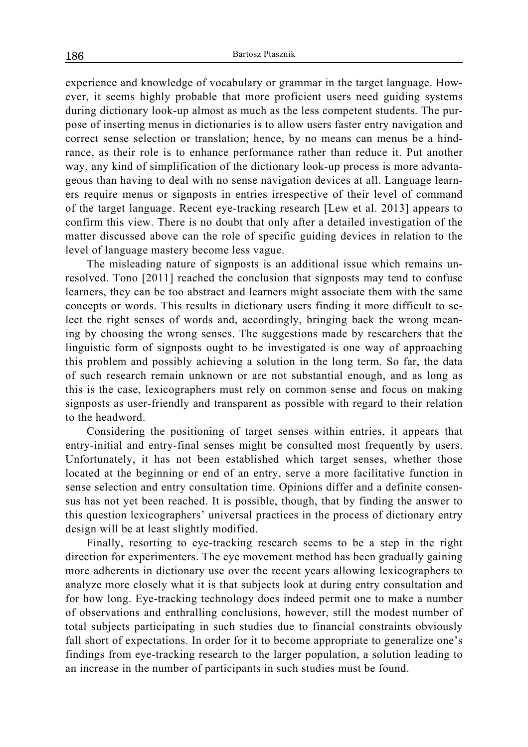experience and knowledge of vocabulary or grammar in the target language. However, it seems highly probable that more proficient users need guiding systems during dictionary look-up almost as much as the less competent students. The purpose of inserting menus in dictionaries is to allow users faster entry navigation and correct sense selection or translation; hence, by no means can menus be a hindrance, as their role is to enhance performance rather than reduce it. Put another way, any kind of simplification of the dictionary look-up process is more advantageous than having to deal with no sense navigation devices at all. Language learners require menus or signposts in entries irrespective of their level of command of the target language. Recent eye-tracking research [Lew et al. 2013] appears to confirm this view. There is no doubt that only after a detailed investigation of the matter discussed above can the role of specific guiding devices in relation to the level of language mastery become less vague.

The misleading nature of signposts is an additional issue which remains unresolved. Tono [2011] reached the conclusion that signposts may tend to confuse learners, they can be too abstract and learners might associate them with the same concepts or words. This results in dictionary users finding it more difficult to select the right senses of words and, accordingly, bringing back the wrong meaning by choosing the wrong senses. The suggestions made by researchers that the linguistic form of signposts ought to be investigated is one way of approaching this problem and possibly achieving a solution in the long term. So far, the data of such research remain unknown or are not substantial enough, and as long as this is the case, lexicographers must rely on common sense and focus on making signposts as user-friendly and transparent as possible with regard to their relation to the headword.

Considering the positioning of target senses within entries, it appears that entry-initial and entry-final senses might be consulted most frequently by users. Unfortunately, it has not been established which target senses, whether those located at the beginning or end of an entry, serve a more facilitative function in sense selection and entry consultation time. Opinions differ and a definite consensus has not yet been reached. It is possible, though, that by finding the answer to this question lexicographers' universal practices in the process of dictionary entry design will be at least slightly modified.

Finally, resorting to eye-tracking research seems to be a step in the right direction for experimenters. The eye movement method has been gradually gaining more adherents in dictionary use over the recent years allowing lexicographers to analyze more closely what it is that subjects look at during entry consultation and for how long. Eye-tracking technology does indeed permit one to make a number of observations and enthralling conclusions, however, still the modest number of total subjects participating in such studies due to financial constraints obviously fall short of expectations. In order for it to become appropriate to generalize one's findings from eye-tracking research to the larger population, a solution leading to an increase in the number of participants in such studies must be found.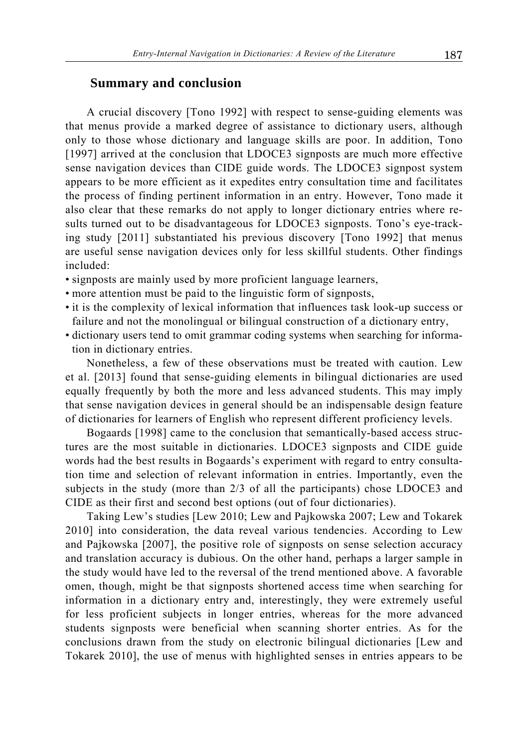### **Summary and conclusion**

A crucial discovery [Tono 1992] with respect to sense-guiding elements was that menus provide a marked degree of assistance to dictionary users, although only to those whose dictionary and language skills are poor. In addition, Tono [1997] arrived at the conclusion that LDOCE3 signposts are much more effective sense navigation devices than CIDE guide words. The LDOCE3 signpost system appears to be more efficient as it expedites entry consultation time and facilitates the process of finding pertinent information in an entry. However, Tono made it also clear that these remarks do not apply to longer dictionary entries where results turned out to be disadvantageous for LDOCE3 signposts. Tono's eye-tracking study [2011] substantiated his previous discovery [Tono 1992] that menus are useful sense navigation devices only for less skillful students. Other findings included:

- signposts are mainly used by more proficient language learners,
- more attention must be paid to the linguistic form of signposts,
- it is the complexity of lexical information that influences task look-up success or failure and not the monolingual or bilingual construction of a dictionary entry,
- dictionary users tend to omit grammar coding systems when searching for information in dictionary entries.

Nonetheless, a few of these observations must be treated with caution. Lew et al. [2013] found that sense-guiding elements in bilingual dictionaries are used equally frequently by both the more and less advanced students. This may imply that sense navigation devices in general should be an indispensable design feature of dictionaries for learners of English who represent different proficiency levels.

Bogaards [1998] came to the conclusion that semantically-based access structures are the most suitable in dictionaries. LDOCE3 signposts and CIDE guide words had the best results in Bogaards's experiment with regard to entry consultation time and selection of relevant information in entries. Importantly, even the subjects in the study (more than 2/3 of all the participants) chose LDOCE3 and CIDE as their first and second best options (out of four dictionaries).

Taking Lew's studies [Lew 2010; Lew and Pajkowska 2007; Lew and Tokarek 2010] into consideration, the data reveal various tendencies. According to Lew and Pajkowska [2007], the positive role of signposts on sense selection accuracy and translation accuracy is dubious. On the other hand, perhaps a larger sample in the study would have led to the reversal of the trend mentioned above. A favorable omen, though, might be that signposts shortened access time when searching for information in a dictionary entry and, interestingly, they were extremely useful for less proficient subjects in longer entries, whereas for the more advanced students signposts were beneficial when scanning shorter entries. As for the conclusions drawn from the study on electronic bilingual dictionaries [Lew and Tokarek 2010], the use of menus with highlighted senses in entries appears to be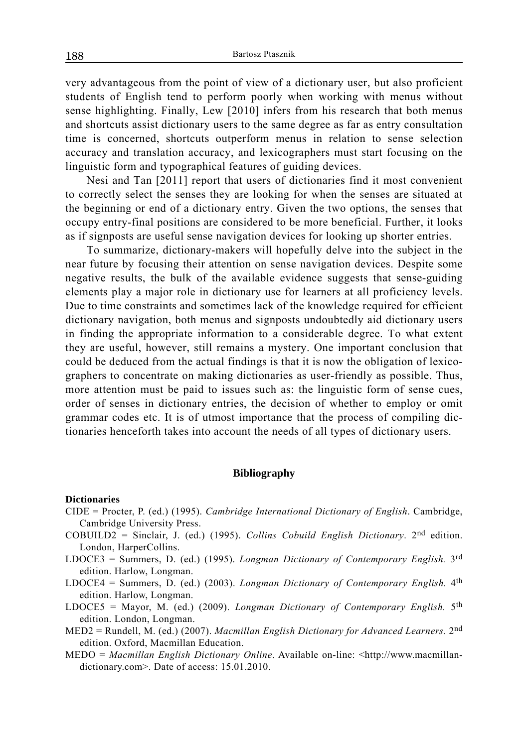very advantageous from the point of view of a dictionary user, but also proficient students of English tend to perform poorly when working with menus without sense highlighting. Finally, Lew [2010] infers from his research that both menus and shortcuts assist dictionary users to the same degree as far as entry consultation time is concerned, shortcuts outperform menus in relation to sense selection accuracy and translation accuracy, and lexicographers must start focusing on the linguistic form and typographical features of guiding devices.

Nesi and Tan [2011] report that users of dictionaries find it most convenient to correctly select the senses they are looking for when the senses are situated at the beginning or end of a dictionary entry. Given the two options, the senses that occupy entry-final positions are considered to be more beneficial. Further, it looks as if signposts are useful sense navigation devices for looking up shorter entries.

To summarize, dictionary-makers will hopefully delve into the subject in the near future by focusing their attention on sense navigation devices. Despite some negative results, the bulk of the available evidence suggests that sense-guiding elements play a major role in dictionary use for learners at all proficiency levels. Due to time constraints and sometimes lack of the knowledge required for efficient dictionary navigation, both menus and signposts undoubtedly aid dictionary users in finding the appropriate information to a considerable degree. To what extent they are useful, however, still remains a mystery. One important conclusion that could be deduced from the actual findings is that it is now the obligation of lexicographers to concentrate on making dictionaries as user-friendly as possible. Thus, more attention must be paid to issues such as: the linguistic form of sense cues, order of senses in dictionary entries, the decision of whether to employ or omit grammar codes etc. It is of utmost importance that the process of compiling dictionaries henceforth takes into account the needs of all types of dictionary users.

#### **Bibliography**

#### **Dictionaries**

- CIDE = Procter, P. (ed.) (1995). *Cambridge International Dictionary of English*. Cambridge, Cambridge University Press.
- COBUILD2 = Sinclair, J. (ed.) (1995). *Collins Cobuild English Dictionary*. 2nd edition. London, HarperCollins.
- LDOCE3 = Summers, D. (ed.) (1995). *Longman Dictionary of Contemporary English.* 3rd edition. Harlow, Longman.
- LDOCE4 = Summers, D. (ed.) (2003). *Longman Dictionary of Contemporary English.* 4th edition. Harlow, Longman.
- LDOCE5 = Mayor, M. (ed.) (2009). *Longman Dictionary of Contemporary English.* 5th edition. London, Longman.
- MED2 = Rundell, M. (ed.) (2007). *Macmillan English Dictionary for Advanced Learners.* 2nd edition. Oxford, Macmillan Education.
- MEDO = *Macmillan English Dictionary Online*. Available on-line: <http://www.macmillandictionary.com>. Date of access: 15.01.2010.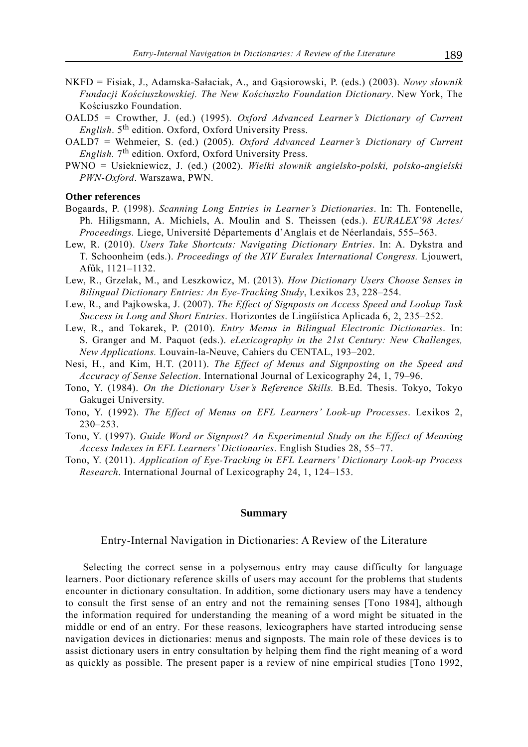- NKFD = Fisiak, J., Adamska-Sałaciak, A., and Gąsiorowski, P. (eds.) (2003). *Nowy słownik Fundacji Kościuszkowskiej. The New Kościuszko Foundation Dictionary*. New York, The Kościuszko Foundation.
- OALD5 = Crowther, J. (ed.) (1995). *Oxford Advanced Learner's Dictionary of Current English*. 5th edition. Oxford, Oxford University Press.
- OALD7 = Wehmeier, S. (ed.) (2005). *Oxford Advanced Learner's Dictionary of Current English.* 7th edition. Oxford, Oxford University Press.
- PWNO = Usiekniewicz, J. (ed.) (2002). *Wielki słownik angielsko-polski, polsko-angielski PWN-Oxford*. Warszawa, PWN.

#### **Other references**

- Bogaards, P. (1998). *Scanning Long Entries in Learner's Dictionaries*. In: Th. Fontenelle, Ph. Hiligsmann, A. Michiels, A. Moulin and S. Theissen (eds.). *EURALEX'98 Actes/ Proceedings.* Liege, Université Départements d'Anglais et de Néerlandais, 555–563.
- Lew, R. (2010). *Users Take Shortcuts: Navigating Dictionary Entries*. In: A. Dykstra and T. Schoonheim (eds.). *Proceedings of the XIV Euralex International Congress.* Ljouwert, Afűk, 1121–1132.
- Lew, R., Grzelak, M., and Leszkowicz, M. (2013). *How Dictionary Users Choose Senses in Bilingual Dictionary Entries: An Eye-Tracking Study*, Lexikos 23, 228–254.
- Lew, R., and Pajkowska, J. (2007). *The Effect of Signposts on Access Speed and Lookup Task Success in Long and Short Entries*. Horizontes de Lingüística Aplicada 6, 2, 235–252.
- Lew, R., and Tokarek, P. (2010). *Entry Menus in Bilingual Electronic Dictionaries*. In: S. Granger and M. Paquot (eds.). *eLexicography in the 21st Century: New Challenges, New Applications.* Louvain-la-Neuve, Cahiers du CENTAL, 193–202.
- Nesi, H., and Kim, H.T. (2011). *The Effect of Menus and Signposting on the Speed and Accuracy of Sense Selection*. International Journal of Lexicography 24, 1, 79–96.
- Tono, Y. (1984). *On the Dictionary User's Reference Skills.* B.Ed. Thesis. Tokyo, Tokyo Gakugei University.
- Tono, Y. (1992). *The Effect of Menus on EFL Learners' Look-up Processes*. Lexikos 2, 230–253.
- Tono, Y. (1997). *Guide Word or Signpost? An Experimental Study on the Effect of Meaning Access Indexes in EFL Learners' Dictionaries*. English Studies 28, 55 –77.
- Tono, Y. (2011). *Application of Eye-Tracking in EFL Learners' Dictionary Look-up Process Research*. International Journal of Lexicography 24, 1, 124–153.

#### **Summary**

Entry-Internal Navigation in Dictionaries: A Review of the Literature

Selecting the correct sense in a polysemous entry may cause difficulty for language learners. Poor dictionary reference skills of users may account for the problems that students encounter in dictionary consultation. In addition, some dictionary users may have a tendency to consult the first sense of an entry and not the remaining senses [Tono 1984], although the information required for understanding the meaning of a word might be situated in the middle or end of an entry. For these reasons, lexicographers have started introducing sense navigation devices in dictionaries: menus and signposts. The main role of these devices is to assist dictionary users in entry consultation by helping them find the right meaning of a word as quickly as possible. The present paper is a review of nine empirical studies [Tono 1992,